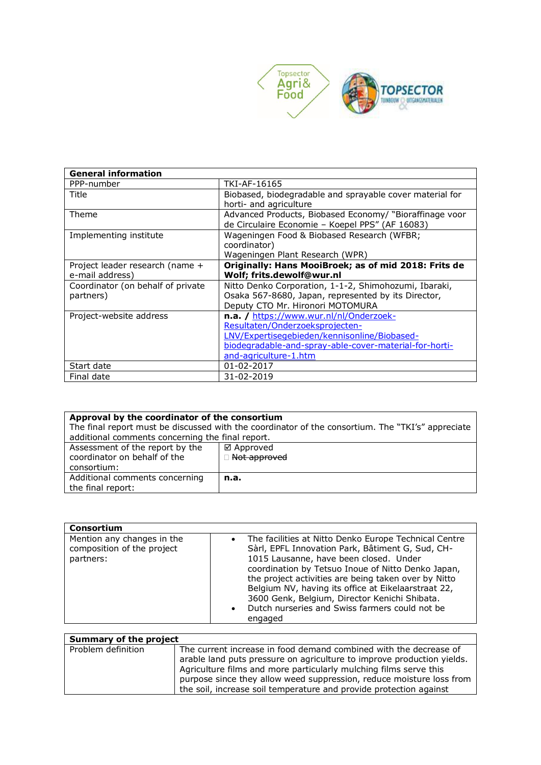

| <b>General information</b>        |                                                          |
|-----------------------------------|----------------------------------------------------------|
| PPP-number                        | TKI-AF-16165                                             |
| Title                             | Biobased, biodegradable and sprayable cover material for |
|                                   | horti- and agriculture                                   |
| Theme                             | Advanced Products, Biobased Economy/ "Bioraffinage voor  |
|                                   | de Circulaire Economie - Koepel PPS" (AF 16083)          |
| Implementing institute            | Wageningen Food & Biobased Research (WFBR;               |
|                                   | coordinator)                                             |
|                                   | Wageningen Plant Research (WPR)                          |
| Project leader research (name +   | Originally: Hans MooiBroek; as of mid 2018: Frits de     |
| e-mail address)                   | Wolf; frits.dewolf@wur.nl                                |
| Coordinator (on behalf of private | Nitto Denko Corporation, 1-1-2, Shimohozumi, Ibaraki,    |
| partners)                         | Osaka 567-8680, Japan, represented by its Director,      |
|                                   | Deputy CTO Mr. Hironori MOTOMURA                         |
| Project-website address           | n.a. / https://www.wur.nl/nl/Onderzoek-                  |
|                                   | Resultaten/Onderzoeksprojecten-                          |
|                                   | LNV/Expertisegebieden/kennisonline/Biobased-             |
|                                   | biodegradable-and-spray-able-cover-material-for-horti-   |
|                                   | and-agriculture-1.htm                                    |
| Start date                        | 01-02-2017                                               |
| Final date                        | 31-02-2019                                               |

| Approval by the coordinator of the consortium                                                     |                |
|---------------------------------------------------------------------------------------------------|----------------|
| The final report must be discussed with the coordinator of the consortium. The "TKI's" appreciate |                |
| additional comments concerning the final report.                                                  |                |
| Assessment of the report by the                                                                   | ⊠ Approved     |
| coordinator on behalf of the                                                                      | □ Not approved |
| consortium:                                                                                       |                |
| Additional comments concerning                                                                    | n.a.           |
| the final report:                                                                                 |                |

| <b>Consortium</b>                                                     |                                                                                                                                                                                                                                                                                                                                                                                                                                                       |
|-----------------------------------------------------------------------|-------------------------------------------------------------------------------------------------------------------------------------------------------------------------------------------------------------------------------------------------------------------------------------------------------------------------------------------------------------------------------------------------------------------------------------------------------|
| Mention any changes in the<br>composition of the project<br>partners: | The facilities at Nitto Denko Europe Technical Centre<br>$\bullet$<br>Sàrl, EPFL Innovation Park, Bâtiment G, Sud, CH-<br>1015 Lausanne, have been closed. Under<br>coordination by Tetsuo Inoue of Nitto Denko Japan,<br>the project activities are being taken over by Nitto<br>Belgium NV, having its office at Eikelaarstraat 22,<br>3600 Genk, Belgium, Director Kenichi Shibata.<br>• Dutch nurseries and Swiss farmers could not be<br>engaged |

| Summary of the project |                                                                                                                                                                                                                                                                                          |
|------------------------|------------------------------------------------------------------------------------------------------------------------------------------------------------------------------------------------------------------------------------------------------------------------------------------|
| Problem definition     | The current increase in food demand combined with the decrease of<br>arable land puts pressure on agriculture to improve production yields.<br>Agriculture films and more particularly mulching films serve this<br>purpose since they allow weed suppression, reduce moisture loss from |
|                        | the soil, increase soil temperature and provide protection against                                                                                                                                                                                                                       |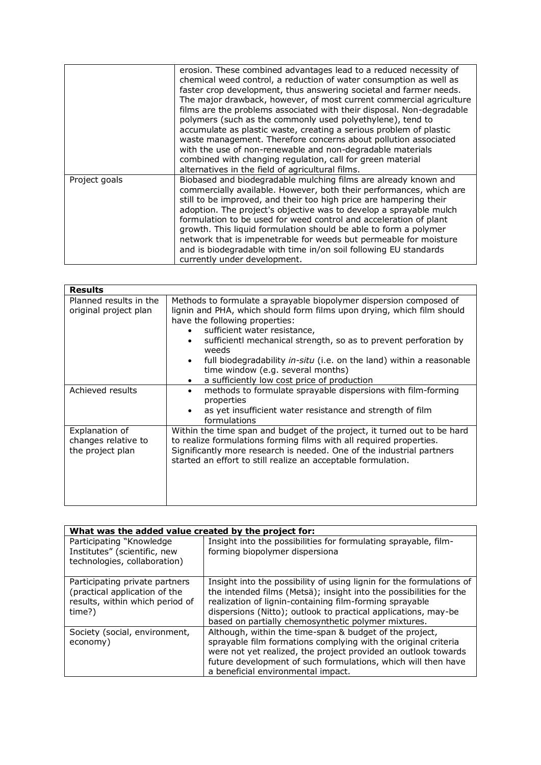|               | erosion. These combined advantages lead to a reduced necessity of<br>chemical weed control, a reduction of water consumption as well as<br>faster crop development, thus answering societal and farmer needs.<br>The major drawback, however, of most current commercial agriculture<br>films are the problems associated with their disposal. Non-degradable<br>polymers (such as the commonly used polyethylene), tend to<br>accumulate as plastic waste, creating a serious problem of plastic<br>waste management. Therefore concerns about pollution associated<br>with the use of non-renewable and non-degradable materials<br>combined with changing regulation, call for green material |
|---------------|--------------------------------------------------------------------------------------------------------------------------------------------------------------------------------------------------------------------------------------------------------------------------------------------------------------------------------------------------------------------------------------------------------------------------------------------------------------------------------------------------------------------------------------------------------------------------------------------------------------------------------------------------------------------------------------------------|
| Project goals | alternatives in the field of agricultural films.<br>Biobased and biodegradable mulching films are already known and<br>commercially available. However, both their performances, which are<br>still to be improved, and their too high price are hampering their<br>adoption. The project's objective was to develop a sprayable mulch<br>formulation to be used for weed control and acceleration of plant<br>growth. This liquid formulation should be able to form a polymer<br>network that is impenetrable for weeds but permeable for moisture<br>and is biodegradable with time in/on soil following EU standards<br>currently under development.                                         |

| <b>Results</b>                                            |                                                                                                                                                                                                                                                                                                                                                                                                                                                         |
|-----------------------------------------------------------|---------------------------------------------------------------------------------------------------------------------------------------------------------------------------------------------------------------------------------------------------------------------------------------------------------------------------------------------------------------------------------------------------------------------------------------------------------|
| Planned results in the<br>original project plan           | Methods to formulate a sprayable biopolymer dispersion composed of<br>lignin and PHA, which should form films upon drying, which film should<br>have the following properties:<br>sufficient water resistance,<br>sufficientl mechanical strength, so as to prevent perforation by<br>weeds<br>full biodegradability in-situ (i.e. on the land) within a reasonable<br>time window (e.g. several months)<br>a sufficiently low cost price of production |
| Achieved results                                          | methods to formulate sprayable dispersions with film-forming<br>$\bullet$<br>properties<br>as yet insufficient water resistance and strength of film<br>formulations                                                                                                                                                                                                                                                                                    |
| Explanation of<br>changes relative to<br>the project plan | Within the time span and budget of the project, it turned out to be hard<br>to realize formulations forming films with all required properties.<br>Significantly more research is needed. One of the industrial partners<br>started an effort to still realize an acceptable formulation.                                                                                                                                                               |

| What was the added value created by the project for:                                                         |                                                                                                                                                                                                                                                                                                                                |
|--------------------------------------------------------------------------------------------------------------|--------------------------------------------------------------------------------------------------------------------------------------------------------------------------------------------------------------------------------------------------------------------------------------------------------------------------------|
| Participating "Knowledge"<br>Institutes" (scientific, new<br>technologies, collaboration)                    | Insight into the possibilities for formulating sprayable, film-<br>forming biopolymer dispersiona                                                                                                                                                                                                                              |
| Participating private partners<br>(practical application of the<br>results, within which period of<br>time?) | Insight into the possibility of using lignin for the formulations of<br>the intended films (Metsä); insight into the possibilities for the<br>realization of lignin-containing film-forming sprayable<br>dispersions (Nitto); outlook to practical applications, may-be<br>based on partially chemosynthetic polymer mixtures. |
| Society (social, environment,<br>economy)                                                                    | Although, within the time-span & budget of the project,<br>sprayable film formations complying with the original criteria<br>were not yet realized, the project provided an outlook towards<br>future development of such formulations, which will then have<br>a beneficial environmental impact.                             |